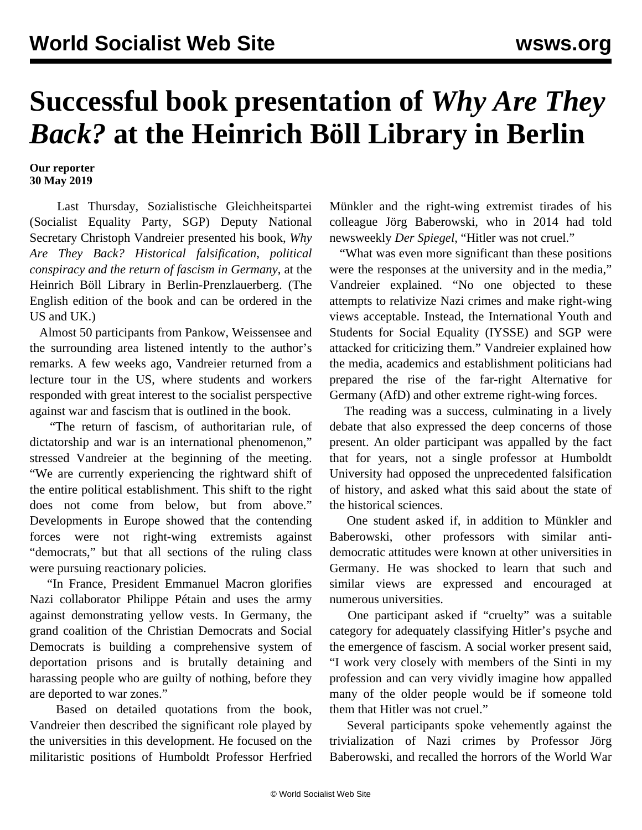## **Successful book presentation of** *Why Are They Back?* **at the Heinrich Böll Library in Berlin**

**Our reporter 30 May 2019**

 Last Thursday, Sozialistische Gleichheitspartei (Socialist Equality Party, SGP) Deputy National Secretary Christoph Vandreier presented his book, *Why Are They Back? Historical falsification, political conspiracy and the return of fascism in Germany*, at the Heinrich Böll Library in Berlin-Prenzlauerberg. (The English edition of the book and can be ordered in the [US](https://mehring.com/why-are-they-back-historical-falsification-political-conspiracy-and-the-return-of-fascism-in-germany.html) and [UK](https://mehringbooks.co.uk/product/why-are-they-back/).)

 Almost 50 participants from Pankow, Weissensee and the surrounding area listened intently to the author's remarks. A few weeks ago, Vandreier returned from a [lecture tour](/en/articles/2019/05/22/vide-m22.html) in the US, where students and workers responded with great interest to the socialist perspective against war and fascism that is outlined in the book.

 "The return of fascism, of authoritarian rule, of dictatorship and war is an international phenomenon," stressed Vandreier at the beginning of the meeting. "We are currently experiencing the rightward shift of the entire political establishment. This shift to the right does not come from below, but from above." Developments in Europe showed that the contending forces were not right-wing extremists against "democrats," but that all sections of the ruling class were pursuing reactionary policies.

 "In France, President Emmanuel Macron glorifies Nazi collaborator Philippe Pétain and uses the army against demonstrating yellow vests. In Germany, the grand coalition of the Christian Democrats and Social Democrats is building a comprehensive system of deportation prisons and is brutally detaining and harassing people who are guilty of nothing, before they are deported to war zones."

 Based on detailed quotations from the book, Vandreier then described the significant role played by the universities in this development. He focused on the militaristic positions of Humboldt Professor Herfried Münkler and the right-wing extremist tirades of his colleague Jörg Baberowski, who in 2014 had told newsweekly *Der Spiegel*, "Hitler was not cruel."

 "What was even more significant than these positions were the responses at the university and in the media," Vandreier explained. "No one objected to these attempts to relativize Nazi crimes and make right-wing views acceptable. Instead, the International Youth and Students for Social Equality (IYSSE) and SGP were attacked for criticizing them." Vandreier explained how the media, academics and establishment politicians had prepared the rise of the far-right Alternative for Germany (AfD) and other extreme right-wing forces.

 The reading was a success, culminating in a lively debate that also expressed the deep concerns of those present. An older participant was appalled by the fact that for years, not a single professor at Humboldt University had opposed the unprecedented falsification of history, and asked what this said about the state of the historical sciences.

 One student asked if, in addition to Münkler and Baberowski, other professors with similar antidemocratic attitudes were known at other universities in Germany. He was shocked to learn that such and similar views are expressed and encouraged at numerous universities.

 One participant asked if "cruelty" was a suitable category for adequately classifying Hitler's psyche and the emergence of fascism. A social worker present said, "I work very closely with members of the Sinti in my profession and can very vividly imagine how appalled many of the older people would be if someone told them that Hitler was not cruel."

 Several participants spoke vehemently against the trivialization of Nazi crimes by Professor Jörg Baberowski, and recalled the horrors of the World War